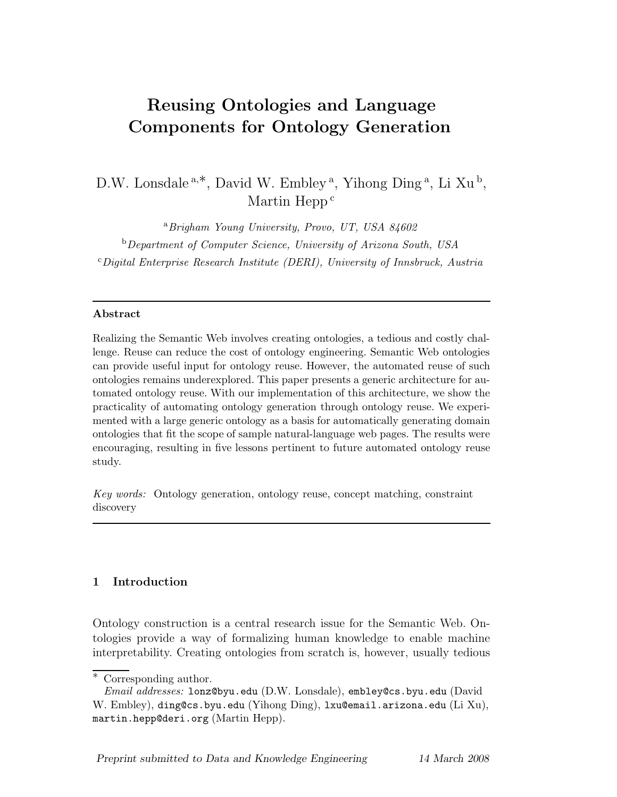# **Reusing Ontologies and Language Components for Ontology Generation**

D.W. Lonsdale<sup>a,\*</sup>, David W. Embley<sup>a</sup>, Yihong Ding<sup>a</sup>, Li Xu<sup>b</sup>, Martin Hepp<sup>c</sup>

<sup>a</sup>*Brigham Young University, Provo, UT, USA 84602* <sup>b</sup>*Department of Computer Science, University of Arizona South, USA* <sup>c</sup>*Digital Enterprise Research Institute (DERI), University of Innsbruck, Austria*

#### **Abstract**

Realizing the Semantic Web involves creating ontologies, a tedious and costly challenge. Reuse can reduce the cost of ontology engineering. Semantic Web ontologies can provide useful input for ontology reuse. However, the automated reuse of such ontologies remains underexplored. This paper presents a generic architecture for automated ontology reuse. With our implementation of this architecture, we show the practicality of automating ontology generation through ontology reuse. We experimented with a large generic ontology as a basis for automatically generating domain ontologies that fit the scope of sample natural-language web pages. The results were encouraging, resulting in five lessons pertinent to future automated ontology reuse study.

*Key words:* Ontology generation, ontology reuse, concept matching, constraint discovery

## **1 Introduction**

Ontology construction is a central research issue for the Semantic Web. Ontologies provide a way of formalizing human knowledge to enable machine interpretability. Creating ontologies from scratch is, however, usually tedious

Corresponding author.

*Email addresses:* lonz@byu.edu (D.W. Lonsdale), embley@cs.byu.edu (David W. Embley), ding@cs.byu.edu (Yihong Ding), lxu@email.arizona.edu (Li Xu), martin.hepp@deri.org (Martin Hepp).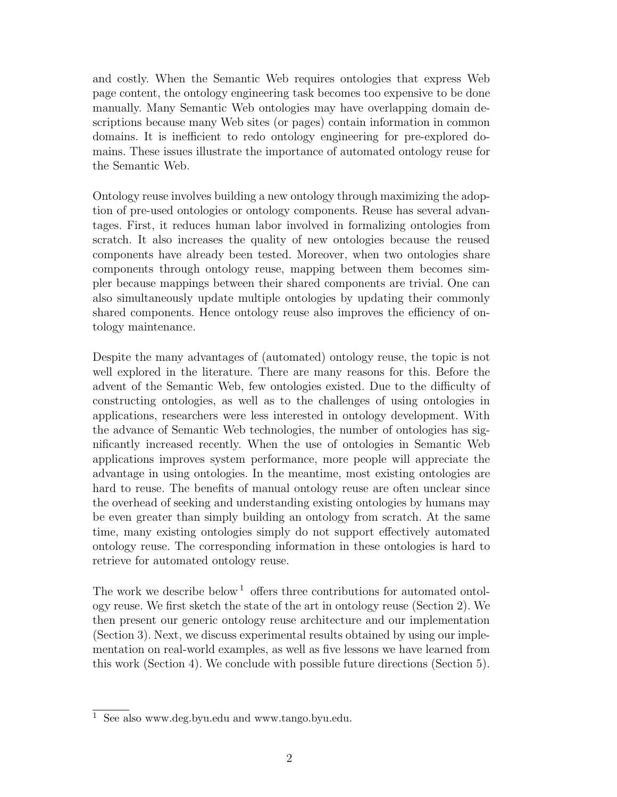and costly. When the Semantic Web requires ontologies that express Web page content, the ontology engineering task becomes too expensive to be done manually. Many Semantic Web ontologies may have overlapping domain descriptions because many Web sites (or pages) contain information in common domains. It is inefficient to redo ontology engineering for pre-explored domains. These issues illustrate the importance of automated ontology reuse for the Semantic Web.

Ontology reuse involves building a new ontology through maximizing the adoption of pre-used ontologies or ontology components. Reuse has several advantages. First, it reduces human labor involved in formalizing ontologies from scratch. It also increases the quality of new ontologies because the reused components have already been tested. Moreover, when two ontologies share components through ontology reuse, mapping between them becomes simpler because mappings between their shared components are trivial. One can also simultaneously update multiple ontologies by updating their commonly shared components. Hence ontology reuse also improves the efficiency of ontology maintenance.

Despite the many advantages of (automated) ontology reuse, the topic is not well explored in the literature. There are many reasons for this. Before the advent of the Semantic Web, few ontologies existed. Due to the difficulty of constructing ontologies, as well as to the challenges of using ontologies in applications, researchers were less interested in ontology development. With the advance of Semantic Web technologies, the number of ontologies has significantly increased recently. When the use of ontologies in Semantic Web applications improves system performance, more people will appreciate the advantage in using ontologies. In the meantime, most existing ontologies are hard to reuse. The benefits of manual ontology reuse are often unclear since the overhead of seeking and understanding existing ontologies by humans may be even greater than simply building an ontology from scratch. At the same time, many existing ontologies simply do not support effectively automated ontology reuse. The corresponding information in these ontologies is hard to retrieve for automated ontology reuse.

The work we describe below  $1$  offers three contributions for automated ontology reuse. We first sketch the state of the art in ontology reuse (Section 2). We then present our generic ontology reuse architecture and our implementation (Section 3). Next, we discuss experimental results obtained by using our implementation on real-world examples, as well as five lessons we have learned from this work (Section 4). We conclude with possible future directions (Section 5).

<sup>1</sup> See also www.deg.byu.edu and www.tango.byu.edu.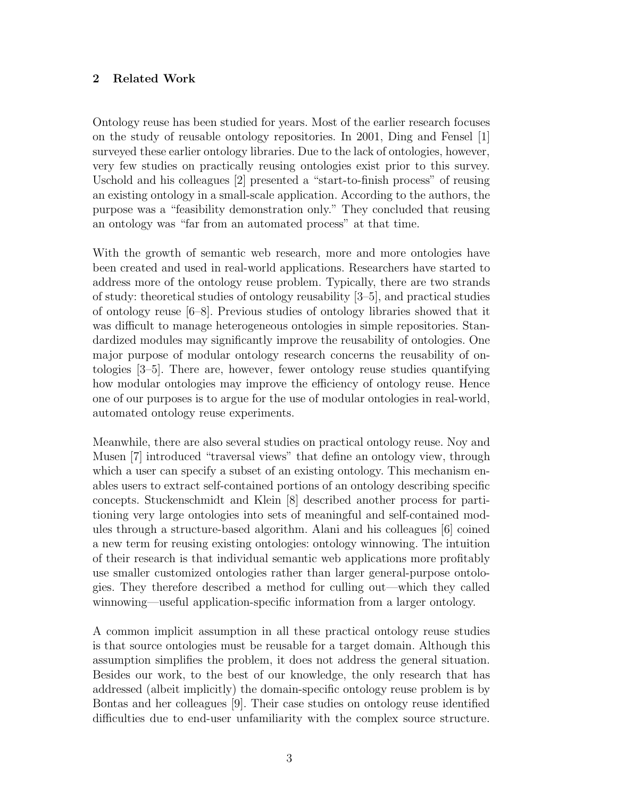### **2 Related Work**

Ontology reuse has been studied for years. Most of the earlier research focuses on the study of reusable ontology repositories. In 2001, Ding and Fensel [1] surveyed these earlier ontology libraries. Due to the lack of ontologies, however, very few studies on practically reusing ontologies exist prior to this survey. Uschold and his colleagues [2] presented a "start-to-finish process" of reusing an existing ontology in a small-scale application. According to the authors, the purpose was a "feasibility demonstration only." They concluded that reusing an ontology was "far from an automated process" at that time.

With the growth of semantic web research, more and more ontologies have been created and used in real-world applications. Researchers have started to address more of the ontology reuse problem. Typically, there are two strands of study: theoretical studies of ontology reusability [3–5], and practical studies of ontology reuse [6–8]. Previous studies of ontology libraries showed that it was difficult to manage heterogeneous ontologies in simple repositories. Standardized modules may significantly improve the reusability of ontologies. One major purpose of modular ontology research concerns the reusability of ontologies [3–5]. There are, however, fewer ontology reuse studies quantifying how modular ontologies may improve the efficiency of ontology reuse. Hence one of our purposes is to argue for the use of modular ontologies in real-world, automated ontology reuse experiments.

Meanwhile, there are also several studies on practical ontology reuse. Noy and Musen [7] introduced "traversal views" that define an ontology view, through which a user can specify a subset of an existing ontology. This mechanism enables users to extract self-contained portions of an ontology describing specific concepts. Stuckenschmidt and Klein [8] described another process for partitioning very large ontologies into sets of meaningful and self-contained modules through a structure-based algorithm. Alani and his colleagues [6] coined a new term for reusing existing ontologies: ontology winnowing. The intuition of their research is that individual semantic web applications more profitably use smaller customized ontologies rather than larger general-purpose ontologies. They therefore described a method for culling out—which they called winnowing—useful application-specific information from a larger ontology.

A common implicit assumption in all these practical ontology reuse studies is that source ontologies must be reusable for a target domain. Although this assumption simplifies the problem, it does not address the general situation. Besides our work, to the best of our knowledge, the only research that has addressed (albeit implicitly) the domain-specific ontology reuse problem is by Bontas and her colleagues [9]. Their case studies on ontology reuse identified difficulties due to end-user unfamiliarity with the complex source structure.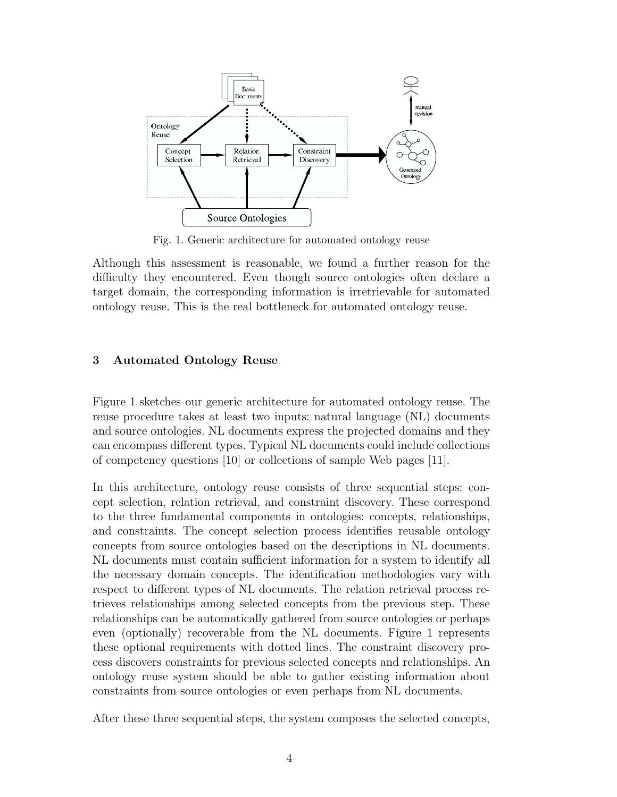

Fig. 1. Generic architecture for automated ontology reuse

Although this assessment is reasonable, we found a further reason for the difficulty they encountered. Even though source ontologies often declare a target domain, the corresponding information is irretrievable for automated ontology reuse. This is the real bottleneck for automated ontology reuse.

### **3 Automated Ontology Reuse**

Figure 1 sketches our generic architecture for automated ontology reuse. The reuse procedure takes at least two inputs: natural language (NL) documents and source ontologies. NL documents express the projected domains and they can encompass different types. Typical NL documents could include collections of competency questions [10] or collections of sample Web pages [11].

In this architecture, ontology reuse consists of three sequential steps: concept selection, relation retrieval, and constraint discovery. These correspond to the three fundamental components in ontologies: concepts, relationships, and constraints. The concept selection process identifies reusable ontology concepts from source ontologies based on the descriptions in NL documents. NL documents must contain sufficient information for a system to identify all the necessary domain concepts. The identification methodologies vary with respect to different types of NL documents. The relation retrieval process retrieves relationships among selected concepts from the previous step. These relationships can be automatically gathered from source ontologies or perhaps even (optionally) recoverable from the NL documents. Figure 1 represents these optional requirements with dotted lines. The constraint discovery process discovers constraints for previous selected concepts and relationships. An ontology reuse system should be able to gather existing information about constraints from source ontologies or even perhaps from NL documents.

After these three sequential steps, the system composes the selected concepts,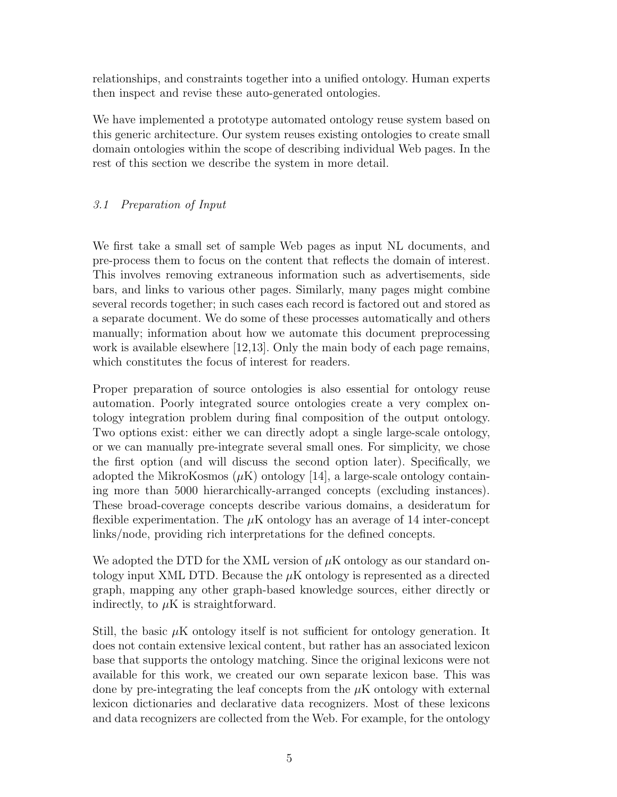relationships, and constraints together into a unified ontology. Human experts then inspect and revise these auto-generated ontologies.

We have implemented a prototype automated ontology reuse system based on this generic architecture. Our system reuses existing ontologies to create small domain ontologies within the scope of describing individual Web pages. In the rest of this section we describe the system in more detail.

# *3.1 Preparation of Input*

We first take a small set of sample Web pages as input NL documents, and pre-process them to focus on the content that reflects the domain of interest. This involves removing extraneous information such as advertisements, side bars, and links to various other pages. Similarly, many pages might combine several records together; in such cases each record is factored out and stored as a separate document. We do some of these processes automatically and others manually; information about how we automate this document preprocessing work is available elsewhere [12,13]. Only the main body of each page remains, which constitutes the focus of interest for readers.

Proper preparation of source ontologies is also essential for ontology reuse automation. Poorly integrated source ontologies create a very complex ontology integration problem during final composition of the output ontology. Two options exist: either we can directly adopt a single large-scale ontology, or we can manually pre-integrate several small ones. For simplicity, we chose the first option (and will discuss the second option later). Specifically, we adopted the MikroKosmos  $(\mu K)$  ontology [14], a large-scale ontology containing more than 5000 hierarchically-arranged concepts (excluding instances). These broad-coverage concepts describe various domains, a desideratum for flexible experimentation. The  $\mu$ K ontology has an average of 14 inter-concept links/node, providing rich interpretations for the defined concepts.

We adopted the DTD for the XML version of  $\mu$ K ontology as our standard ontology input XML DTD. Because the *µ*K ontology is represented as a directed graph, mapping any other graph-based knowledge sources, either directly or indirectly, to *µ*K is straightforward.

Still, the basic  $\mu$ K ontology itself is not sufficient for ontology generation. It does not contain extensive lexical content, but rather has an associated lexicon base that supports the ontology matching. Since the original lexicons were not available for this work, we created our own separate lexicon base. This was done by pre-integrating the leaf concepts from the *µ*K ontology with external lexicon dictionaries and declarative data recognizers. Most of these lexicons and data recognizers are collected from the Web. For example, for the ontology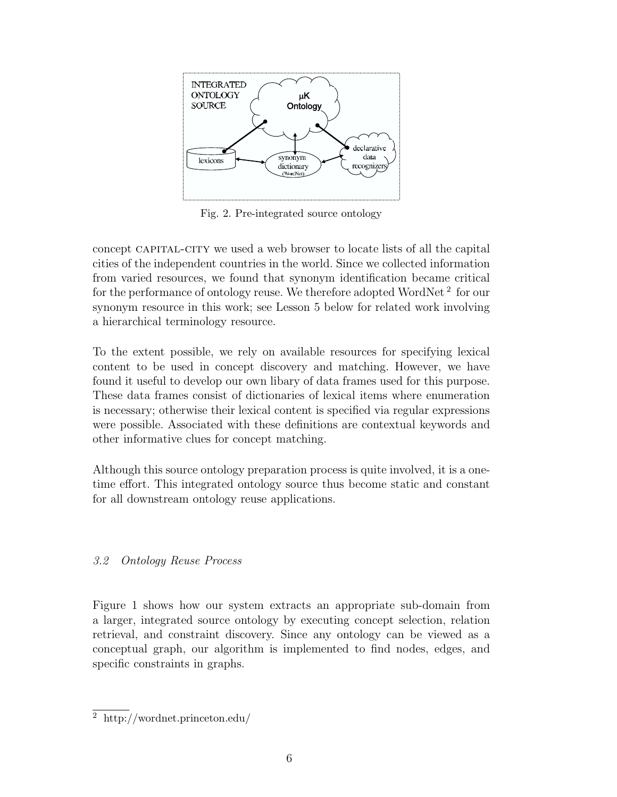

Fig. 2. Pre-integrated source ontology

concept capital-city we used a web browser to locate lists of all the capital cities of the independent countries in the world. Since we collected information from varied resources, we found that synonym identification became critical for the performance of ontology reuse. We therefore adopted WordNet<sup>2</sup> for our synonym resource in this work; see Lesson 5 below for related work involving a hierarchical terminology resource.

To the extent possible, we rely on available resources for specifying lexical content to be used in concept discovery and matching. However, we have found it useful to develop our own libary of data frames used for this purpose. These data frames consist of dictionaries of lexical items where enumeration is necessary; otherwise their lexical content is specified via regular expressions were possible. Associated with these definitions are contextual keywords and other informative clues for concept matching.

Although this source ontology preparation process is quite involved, it is a onetime effort. This integrated ontology source thus become static and constant for all downstream ontology reuse applications.

### *3.2 Ontology Reuse Process*

Figure 1 shows how our system extracts an appropriate sub-domain from a larger, integrated source ontology by executing concept selection, relation retrieval, and constraint discovery. Since any ontology can be viewed as a conceptual graph, our algorithm is implemented to find nodes, edges, and specific constraints in graphs.

<sup>2</sup> http://wordnet.princeton.edu/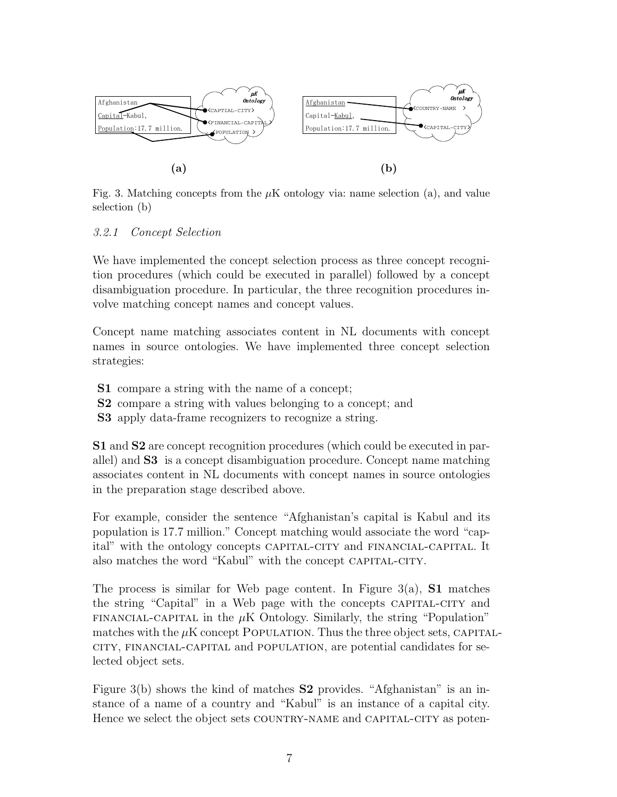

Fig. 3. Matching concepts from the  $\mu$ K ontology via: name selection (a), and value selection (b)

# *3.2.1 Concept Selection*

We have implemented the concept selection process as three concept recognition procedures (which could be executed in parallel) followed by a concept disambiguation procedure. In particular, the three recognition procedures involve matching concept names and concept values.

Concept name matching associates content in NL documents with concept names in source ontologies. We have implemented three concept selection strategies:

- **S1** compare a string with the name of a concept;
- **S2** compare a string with values belonging to a concept; and
- **S3** apply data-frame recognizers to recognize a string.

**S1** and **S2** are concept recognition procedures (which could be executed in parallel) and **S3** is a concept disambiguation procedure. Concept name matching associates content in NL documents with concept names in source ontologies in the preparation stage described above.

For example, consider the sentence "Afghanistan's capital is Kabul and its population is 17.7 million." Concept matching would associate the word "capital" with the ontology concepts capital-city and financial-capital. It also matches the word "Kabul" with the concept CAPITAL-CITY.

The process is similar for Web page content. In Figure 3(a), **S1** matches the string "Capital" in a Web page with the concepts capital-city and FINANCIAL-CAPITAL in the  $\mu$ K Ontology. Similarly, the string "Population" matches with the  $\mu$ K concept POPULATION. Thus the three object sets, CAPITALcity, financial-capital and population, are potential candidates for selected object sets.

Figure 3(b) shows the kind of matches **S2** provides. "Afghanistan" is an instance of a name of a country and "Kabul" is an instance of a capital city. Hence we select the object sets COUNTRY-NAME and CAPITAL-CITY as poten-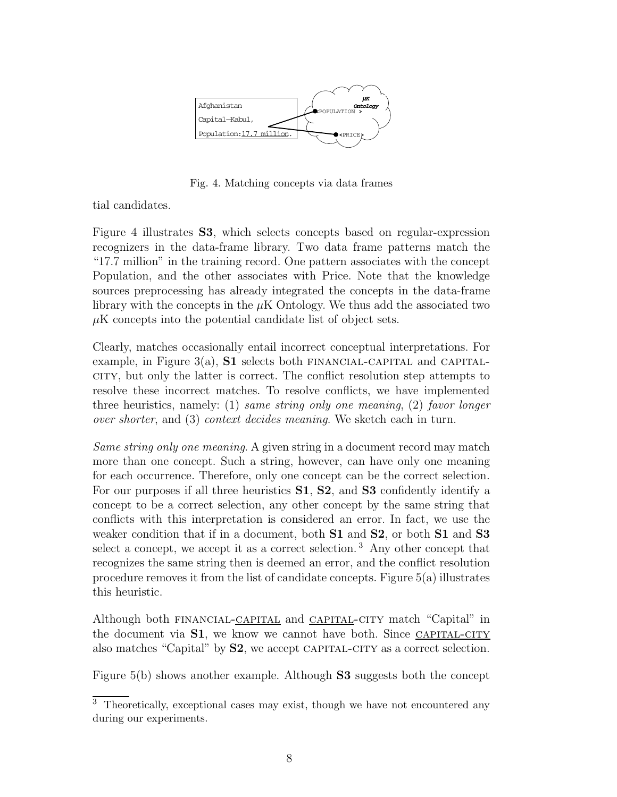

Fig. 4. Matching concepts via data frames

tial candidates.

Figure 4 illustrates **S3**, which selects concepts based on regular-expression recognizers in the data-frame library. Two data frame patterns match the "17.7 million" in the training record. One pattern associates with the concept Population, and the other associates with Price. Note that the knowledge sources preprocessing has already integrated the concepts in the data-frame library with the concepts in the  $\mu$ K Ontology. We thus add the associated two *µ*K concepts into the potential candidate list of object sets.

Clearly, matches occasionally entail incorrect conceptual interpretations. For example, in Figure  $3(a)$ ,  $S1$  selects both FINANCIAL-CAPITAL and CAPITALcity, but only the latter is correct. The conflict resolution step attempts to resolve these incorrect matches. To resolve conflicts, we have implemented three heuristics, namely: (1) *same string only one meaning*, (2) *favor longer over shorter*, and (3) *context decides meaning*. We sketch each in turn.

*Same string only one meaning*. A given string in a document record may match more than one concept. Such a string, however, can have only one meaning for each occurrence. Therefore, only one concept can be the correct selection. For our purposes if all three heuristics **S1**, **S2**, and **S3** confidently identify a concept to be a correct selection, any other concept by the same string that conflicts with this interpretation is considered an error. In fact, we use the weaker condition that if in a document, both **S1** and **S2**, or both **S1** and **S3** select a concept, we accept it as a correct selection.<sup>3</sup> Any other concept that recognizes the same string then is deemed an error, and the conflict resolution procedure removes it from the list of candidate concepts. Figure 5(a) illustrates this heuristic.

Although both FINANCIAL-CAPITAL and CAPITAL-CITY match "Capital" in the document via **S1**, we know we cannot have both. Since CAPITAL-CITY also matches "Capital" by **S2**, we accept capital-city as a correct selection.

Figure 5(b) shows another example. Although **S3** suggests both the concept

<sup>3</sup> Theoretically, exceptional cases may exist, though we have not encountered any during our experiments.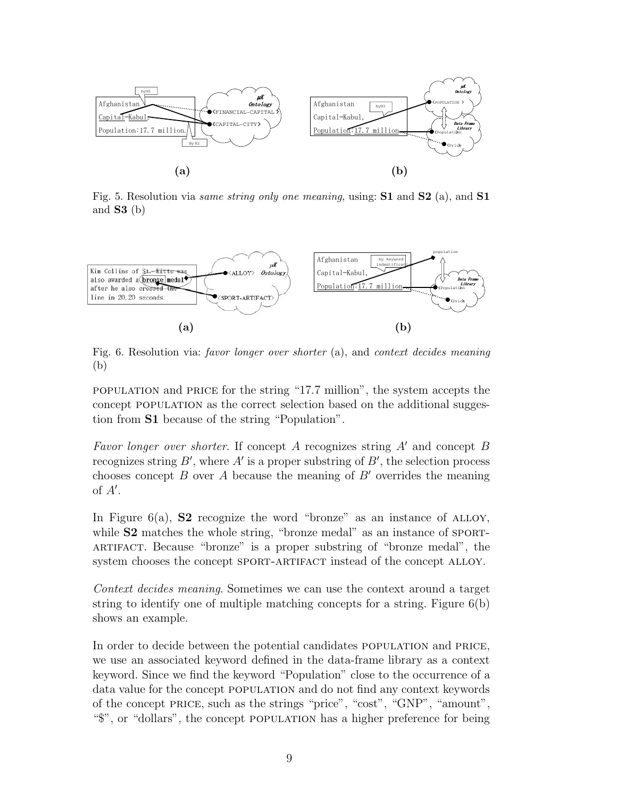

Fig. 5. Resolution via *same string only one meaning*, using: **S1** and **S2** (a), and **S1** and **S3** (b)



Fig. 6. Resolution via: *favor longer over shorter* (a), and *context decides meaning* (b)

population and price for the string "17.7 million", the system accepts the concept population as the correct selection based on the additional suggestion from **S1** because of the string "Population".

*Favor longer over shorter*. If concept *A* recognizes string *A*- and concept *B* recognizes string  $B'$ , where  $A'$  is a proper substring of  $B'$ , the selection process chooses concept  $B$  over  $A$  because the meaning of  $B'$  overrides the meaning of *A*- .

In Figure  $6(a)$ , **S2** recognize the word "bronze" as an instance of ALLOY, while **S2** matches the whole string, "bronze medal" as an instance of SPORTartifact. Because "bronze" is a proper substring of "bronze medal", the system chooses the concept SPORT-ARTIFACT instead of the concept ALLOY.

*Context decides meaning*. Sometimes we can use the context around a target string to identify one of multiple matching concepts for a string. Figure 6(b) shows an example.

In order to decide between the potential candidates POPULATION and PRICE, we use an associated keyword defined in the data-frame library as a context keyword. Since we find the keyword "Population" close to the occurrence of a data value for the concept population and do not find any context keywords of the concept price, such as the strings "price", "cost", "GNP", "amount", "\$", or "dollars", the concept population has a higher preference for being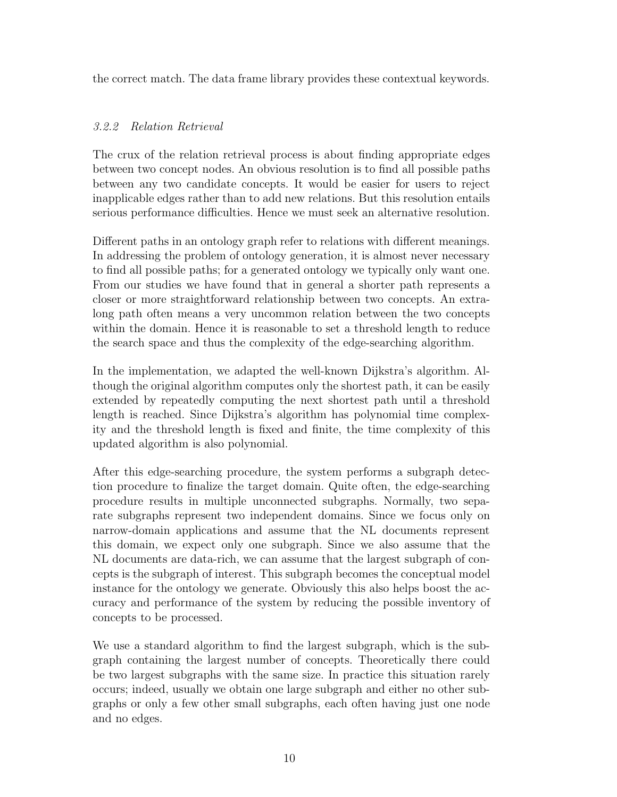the correct match. The data frame library provides these contextual keywords.

# *3.2.2 Relation Retrieval*

The crux of the relation retrieval process is about finding appropriate edges between two concept nodes. An obvious resolution is to find all possible paths between any two candidate concepts. It would be easier for users to reject inapplicable edges rather than to add new relations. But this resolution entails serious performance difficulties. Hence we must seek an alternative resolution.

Different paths in an ontology graph refer to relations with different meanings. In addressing the problem of ontology generation, it is almost never necessary to find all possible paths; for a generated ontology we typically only want one. From our studies we have found that in general a shorter path represents a closer or more straightforward relationship between two concepts. An extralong path often means a very uncommon relation between the two concepts within the domain. Hence it is reasonable to set a threshold length to reduce the search space and thus the complexity of the edge-searching algorithm.

In the implementation, we adapted the well-known Dijkstra's algorithm. Although the original algorithm computes only the shortest path, it can be easily extended by repeatedly computing the next shortest path until a threshold length is reached. Since Dijkstra's algorithm has polynomial time complexity and the threshold length is fixed and finite, the time complexity of this updated algorithm is also polynomial.

After this edge-searching procedure, the system performs a subgraph detection procedure to finalize the target domain. Quite often, the edge-searching procedure results in multiple unconnected subgraphs. Normally, two separate subgraphs represent two independent domains. Since we focus only on narrow-domain applications and assume that the NL documents represent this domain, we expect only one subgraph. Since we also assume that the NL documents are data-rich, we can assume that the largest subgraph of concepts is the subgraph of interest. This subgraph becomes the conceptual model instance for the ontology we generate. Obviously this also helps boost the accuracy and performance of the system by reducing the possible inventory of concepts to be processed.

We use a standard algorithm to find the largest subgraph, which is the subgraph containing the largest number of concepts. Theoretically there could be two largest subgraphs with the same size. In practice this situation rarely occurs; indeed, usually we obtain one large subgraph and either no other subgraphs or only a few other small subgraphs, each often having just one node and no edges.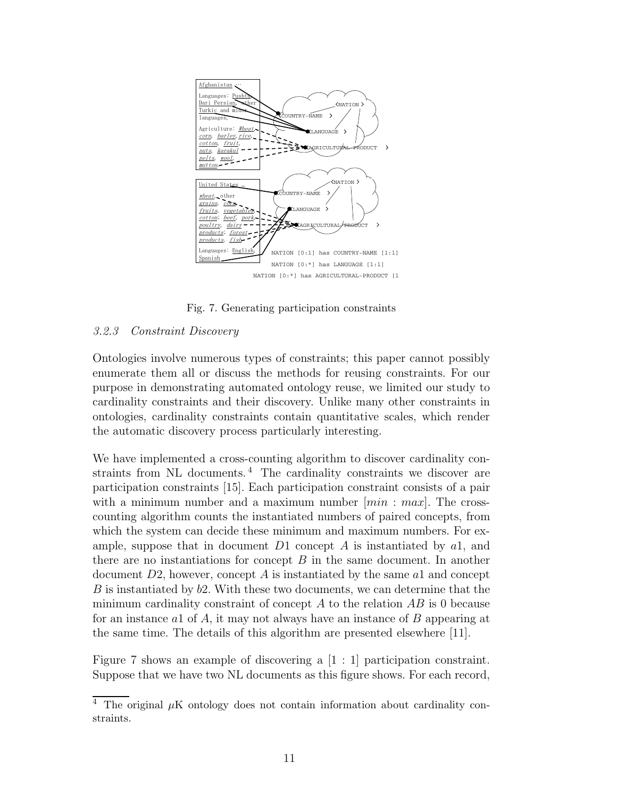

Fig. 7. Generating participation constraints

### *3.2.3 Constraint Discovery*

Ontologies involve numerous types of constraints; this paper cannot possibly enumerate them all or discuss the methods for reusing constraints. For our purpose in demonstrating automated ontology reuse, we limited our study to cardinality constraints and their discovery. Unlike many other constraints in ontologies, cardinality constraints contain quantitative scales, which render the automatic discovery process particularly interesting.

We have implemented a cross-counting algorithm to discover cardinality constraints from NL documents.<sup>4</sup> The cardinality constraints we discover are participation constraints [15]. Each participation constraint consists of a pair with a minimum number and a maximum number [*min* : *max*]. The crosscounting algorithm counts the instantiated numbers of paired concepts, from which the system can decide these minimum and maximum numbers. For example, suppose that in document *D*1 concept *A* is instantiated by *a*1, and there are no instantiations for concept *B* in the same document. In another document *D*2, however, concept *A* is instantiated by the same *a*1 and concept *B* is instantiated by *b*2. With these two documents, we can determine that the minimum cardinality constraint of concept *A* to the relation *AB* is 0 because for an instance *a*1 of *A*, it may not always have an instance of *B* appearing at the same time. The details of this algorithm are presented elsewhere [11].

Figure 7 shows an example of discovering a [1 : 1] participation constraint. Suppose that we have two NL documents as this figure shows. For each record,

<sup>&</sup>lt;sup>4</sup> The original  $\mu$ K ontology does not contain information about cardinality constraints.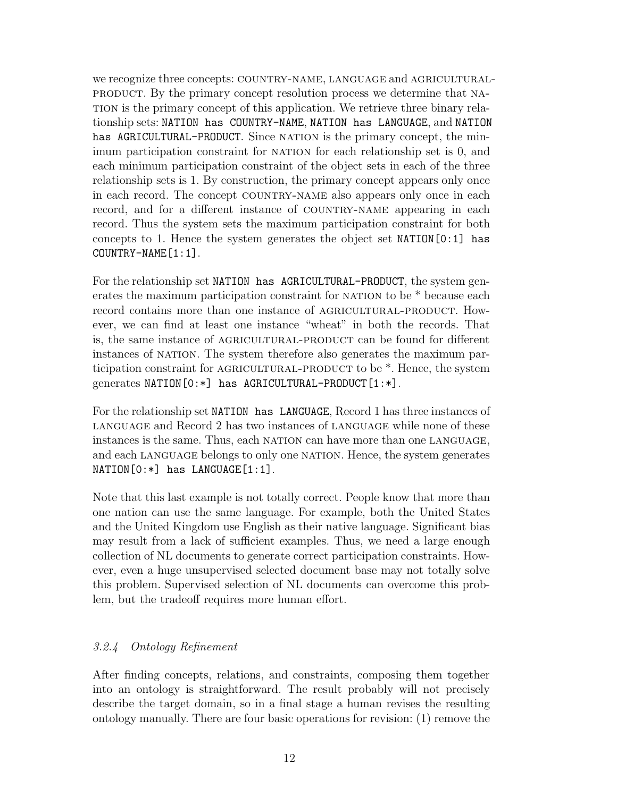we recognize three concepts: COUNTRY-NAME, LANGUAGE and AGRICULTURALproduct. By the primary concept resolution process we determine that nation is the primary concept of this application. We retrieve three binary relationship sets: NATION has COUNTRY-NAME, NATION has LANGUAGE, and NATION has AGRICULTURAL-PRODUCT. Since NATION is the primary concept, the minimum participation constraint for NATION for each relationship set is 0, and each minimum participation constraint of the object sets in each of the three relationship sets is 1. By construction, the primary concept appears only once in each record. The concept COUNTRY-NAME also appears only once in each record, and for a different instance of COUNTRY-NAME appearing in each record. Thus the system sets the maximum participation constraint for both concepts to 1. Hence the system generates the object set NATION[0:1] has COUNTRY-NAME[1:1].

For the relationship set NATION has AGRICULTURAL-PRODUCT, the system generates the maximum participation constraint for NATION to be \* because each record contains more than one instance of AGRICULTURAL-PRODUCT. However, we can find at least one instance "wheat" in both the records. That is, the same instance of AGRICULTURAL-PRODUCT can be found for different instances of nation. The system therefore also generates the maximum participation constraint for AGRICULTURAL-PRODUCT to be  $*$ . Hence, the system generates NATION[0:\*] has AGRICULTURAL-PRODUCT[1:\*].

For the relationship set NATION has LANGUAGE, Record 1 has three instances of language and Record 2 has two instances of language while none of these instances is the same. Thus, each NATION can have more than one LANGUAGE, and each LANGUAGE belongs to only one NATION. Hence, the system generates NATION[0:\*] has LANGUAGE[1:1].

Note that this last example is not totally correct. People know that more than one nation can use the same language. For example, both the United States and the United Kingdom use English as their native language. Significant bias may result from a lack of sufficient examples. Thus, we need a large enough collection of NL documents to generate correct participation constraints. However, even a huge unsupervised selected document base may not totally solve this problem. Supervised selection of NL documents can overcome this problem, but the tradeoff requires more human effort.

# *3.2.4 Ontology Refinement*

After finding concepts, relations, and constraints, composing them together into an ontology is straightforward. The result probably will not precisely describe the target domain, so in a final stage a human revises the resulting ontology manually. There are four basic operations for revision: (1) remove the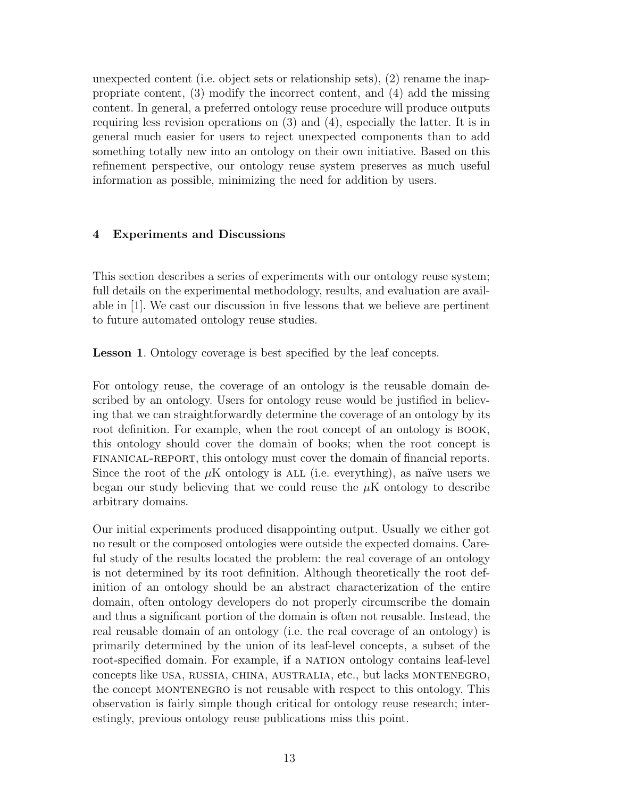unexpected content (i.e. object sets or relationship sets), (2) rename the inappropriate content, (3) modify the incorrect content, and (4) add the missing content. In general, a preferred ontology reuse procedure will produce outputs requiring less revision operations on (3) and (4), especially the latter. It is in general much easier for users to reject unexpected components than to add something totally new into an ontology on their own initiative. Based on this refinement perspective, our ontology reuse system preserves as much useful information as possible, minimizing the need for addition by users.

### **4 Experiments and Discussions**

This section describes a series of experiments with our ontology reuse system; full details on the experimental methodology, results, and evaluation are available in [1]. We cast our discussion in five lessons that we believe are pertinent to future automated ontology reuse studies.

**Lesson 1**. Ontology coverage is best specified by the leaf concepts.

For ontology reuse, the coverage of an ontology is the reusable domain described by an ontology. Users for ontology reuse would be justified in believing that we can straightforwardly determine the coverage of an ontology by its root definition. For example, when the root concept of an ontology is book, this ontology should cover the domain of books; when the root concept is finanical-report, this ontology must cover the domain of financial reports. Since the root of the  $\mu$ K ontology is ALL (i.e. everything), as naïve users we began our study believing that we could reuse the *µ*K ontology to describe arbitrary domains.

Our initial experiments produced disappointing output. Usually we either got no result or the composed ontologies were outside the expected domains. Careful study of the results located the problem: the real coverage of an ontology is not determined by its root definition. Although theoretically the root definition of an ontology should be an abstract characterization of the entire domain, often ontology developers do not properly circumscribe the domain and thus a significant portion of the domain is often not reusable. Instead, the real reusable domain of an ontology (i.e. the real coverage of an ontology) is primarily determined by the union of its leaf-level concepts, a subset of the root-specified domain. For example, if a NATION ontology contains leaf-level concepts like usa, russia, china, australia, etc., but lacks montenegro, the concept montenegro is not reusable with respect to this ontology. This observation is fairly simple though critical for ontology reuse research; interestingly, previous ontology reuse publications miss this point.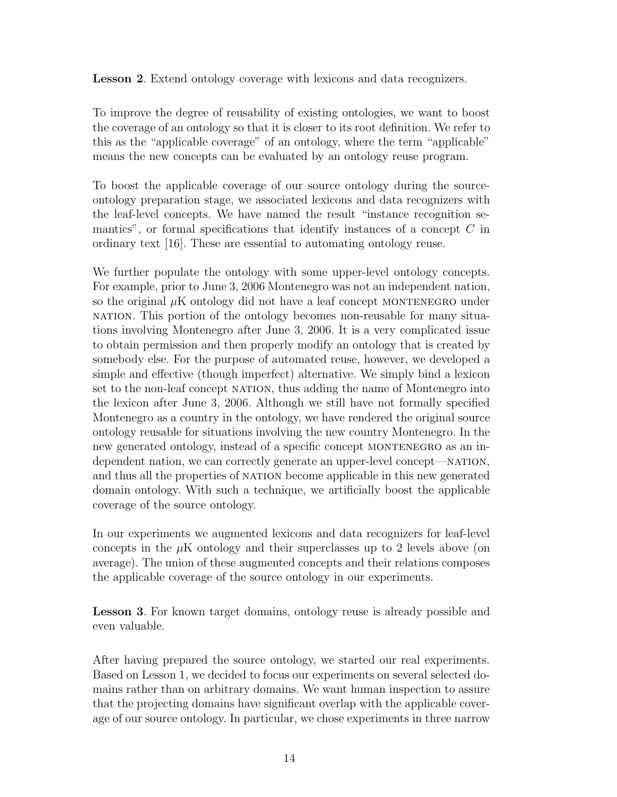**Lesson 2**. Extend ontology coverage with lexicons and data recognizers.

To improve the degree of reusability of existing ontologies, we want to boost the coverage of an ontology so that it is closer to its root definition. We refer to this as the "applicable coverage" of an ontology, where the term "applicable" means the new concepts can be evaluated by an ontology reuse program.

To boost the applicable coverage of our source ontology during the sourceontology preparation stage, we associated lexicons and data recognizers with the leaf-level concepts. We have named the result "instance recognition semantics", or formal specifications that identify instances of a concept *C* in ordinary text [16]. These are essential to automating ontology reuse.

We further populate the ontology with some upper-level ontology concepts. For example, prior to June 3, 2006 Montenegro was not an independent nation, so the original  $\mu$ K ontology did not have a leaf concept MONTENEGRO under nation. This portion of the ontology becomes non-reusable for many situations involving Montenegro after June 3, 2006. It is a very complicated issue to obtain permission and then properly modify an ontology that is created by somebody else. For the purpose of automated reuse, however, we developed a simple and effective (though imperfect) alternative. We simply bind a lexicon set to the non-leaf concept nation, thus adding the name of Montenegro into the lexicon after June 3, 2006. Although we still have not formally specified Montenegro as a country in the ontology, we have rendered the original source ontology reusable for situations involving the new country Montenegro. In the new generated ontology, instead of a specific concept MONTENEGRO as an independent nation, we can correctly generate an upper-level concept—nation, and thus all the properties of NATION become applicable in this new generated domain ontology. With such a technique, we artificially boost the applicable coverage of the source ontology.

In our experiments we augmented lexicons and data recognizers for leaf-level concepts in the  $\mu$ K ontology and their superclasses up to 2 levels above (on average). The union of these augmented concepts and their relations composes the applicable coverage of the source ontology in our experiments.

**Lesson 3**. For known target domains, ontology reuse is already possible and even valuable.

After having prepared the source ontology, we started our real experiments. Based on Lesson 1, we decided to focus our experiments on several selected domains rather than on arbitrary domains. We want human inspection to assure that the projecting domains have significant overlap with the applicable coverage of our source ontology. In particular, we chose experiments in three narrow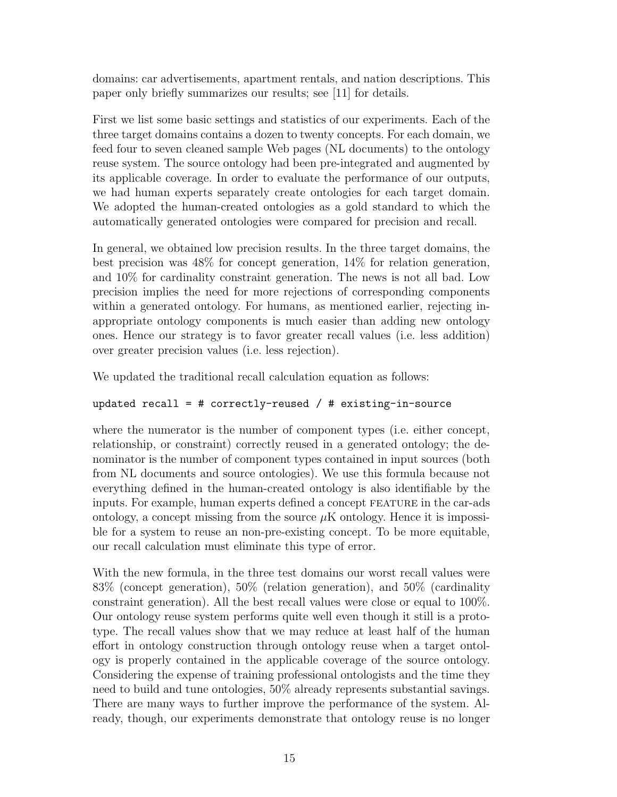domains: car advertisements, apartment rentals, and nation descriptions. This paper only briefly summarizes our results; see [11] for details.

First we list some basic settings and statistics of our experiments. Each of the three target domains contains a dozen to twenty concepts. For each domain, we feed four to seven cleaned sample Web pages (NL documents) to the ontology reuse system. The source ontology had been pre-integrated and augmented by its applicable coverage. In order to evaluate the performance of our outputs, we had human experts separately create ontologies for each target domain. We adopted the human-created ontologies as a gold standard to which the automatically generated ontologies were compared for precision and recall.

In general, we obtained low precision results. In the three target domains, the best precision was 48% for concept generation, 14% for relation generation, and 10% for cardinality constraint generation. The news is not all bad. Low precision implies the need for more rejections of corresponding components within a generated ontology. For humans, as mentioned earlier, rejecting inappropriate ontology components is much easier than adding new ontology ones. Hence our strategy is to favor greater recall values (i.e. less addition) over greater precision values (i.e. less rejection).

We updated the traditional recall calculation equation as follows:

```
updated recall = # correctly-reused / # existing-in-source
```
where the numerator is the number of component types (i.e. either concept, relationship, or constraint) correctly reused in a generated ontology; the denominator is the number of component types contained in input sources (both from NL documents and source ontologies). We use this formula because not everything defined in the human-created ontology is also identifiable by the inputs. For example, human experts defined a concept FEATURE in the car-ads ontology, a concept missing from the source  $\mu$ K ontology. Hence it is impossible for a system to reuse an non-pre-existing concept. To be more equitable, our recall calculation must eliminate this type of error.

With the new formula, in the three test domains our worst recall values were 83% (concept generation), 50% (relation generation), and 50% (cardinality constraint generation). All the best recall values were close or equal to 100%. Our ontology reuse system performs quite well even though it still is a prototype. The recall values show that we may reduce at least half of the human effort in ontology construction through ontology reuse when a target ontology is properly contained in the applicable coverage of the source ontology. Considering the expense of training professional ontologists and the time they need to build and tune ontologies, 50% already represents substantial savings. There are many ways to further improve the performance of the system. Already, though, our experiments demonstrate that ontology reuse is no longer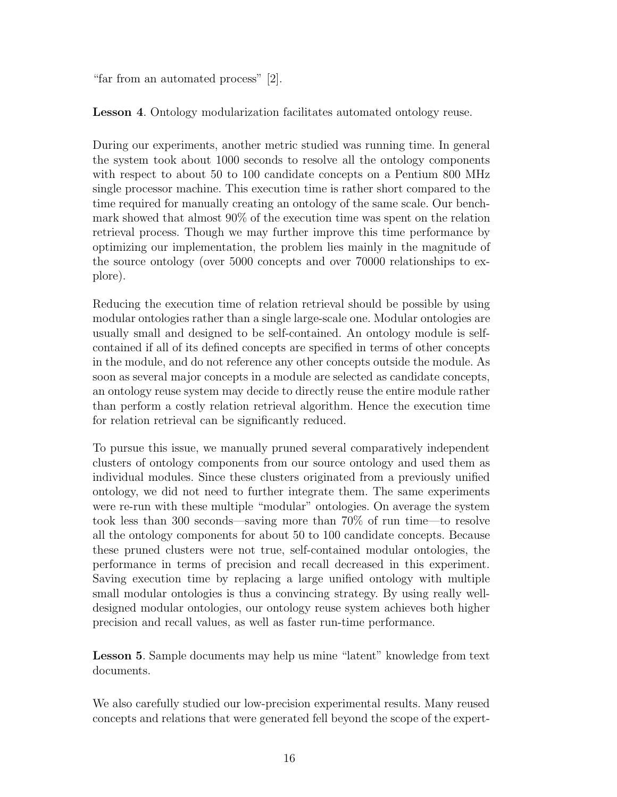"far from an automated process" [2].

**Lesson 4**. Ontology modularization facilitates automated ontology reuse.

During our experiments, another metric studied was running time. In general the system took about 1000 seconds to resolve all the ontology components with respect to about 50 to 100 candidate concepts on a Pentium 800 MHz single processor machine. This execution time is rather short compared to the time required for manually creating an ontology of the same scale. Our benchmark showed that almost 90% of the execution time was spent on the relation retrieval process. Though we may further improve this time performance by optimizing our implementation, the problem lies mainly in the magnitude of the source ontology (over 5000 concepts and over 70000 relationships to explore).

Reducing the execution time of relation retrieval should be possible by using modular ontologies rather than a single large-scale one. Modular ontologies are usually small and designed to be self-contained. An ontology module is selfcontained if all of its defined concepts are specified in terms of other concepts in the module, and do not reference any other concepts outside the module. As soon as several major concepts in a module are selected as candidate concepts, an ontology reuse system may decide to directly reuse the entire module rather than perform a costly relation retrieval algorithm. Hence the execution time for relation retrieval can be significantly reduced.

To pursue this issue, we manually pruned several comparatively independent clusters of ontology components from our source ontology and used them as individual modules. Since these clusters originated from a previously unified ontology, we did not need to further integrate them. The same experiments were re-run with these multiple "modular" ontologies. On average the system took less than 300 seconds—saving more than 70% of run time—to resolve all the ontology components for about 50 to 100 candidate concepts. Because these pruned clusters were not true, self-contained modular ontologies, the performance in terms of precision and recall decreased in this experiment. Saving execution time by replacing a large unified ontology with multiple small modular ontologies is thus a convincing strategy. By using really welldesigned modular ontologies, our ontology reuse system achieves both higher precision and recall values, as well as faster run-time performance.

**Lesson 5**. Sample documents may help us mine "latent" knowledge from text documents.

We also carefully studied our low-precision experimental results. Many reused concepts and relations that were generated fell beyond the scope of the expert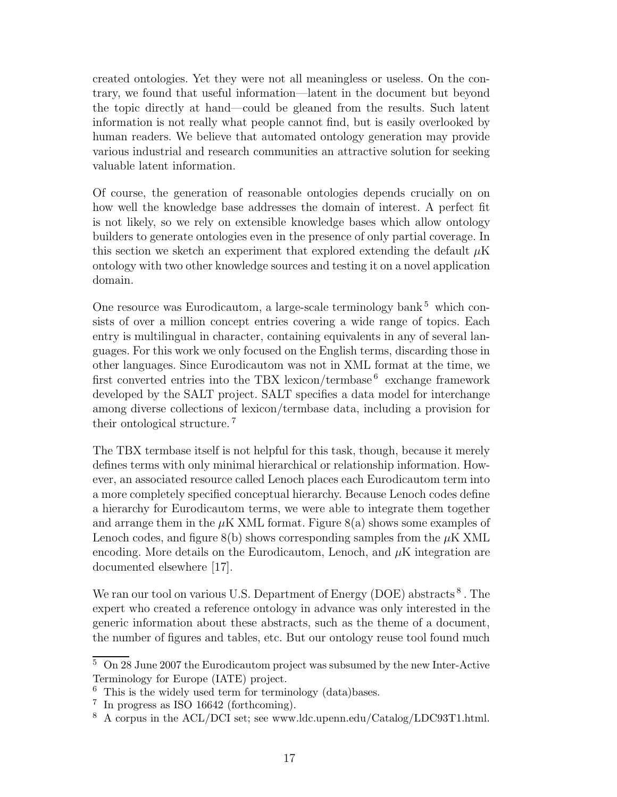created ontologies. Yet they were not all meaningless or useless. On the contrary, we found that useful information—latent in the document but beyond the topic directly at hand—could be gleaned from the results. Such latent information is not really what people cannot find, but is easily overlooked by human readers. We believe that automated ontology generation may provide various industrial and research communities an attractive solution for seeking valuable latent information.

Of course, the generation of reasonable ontologies depends crucially on on how well the knowledge base addresses the domain of interest. A perfect fit is not likely, so we rely on extensible knowledge bases which allow ontology builders to generate ontologies even in the presence of only partial coverage. In this section we sketch an experiment that explored extending the default *µ*K ontology with two other knowledge sources and testing it on a novel application domain.

One resource was Eurodicautom, a large-scale terminology bank  $5$  which consists of over a million concept entries covering a wide range of topics. Each entry is multilingual in character, containing equivalents in any of several languages. For this work we only focused on the English terms, discarding those in other languages. Since Eurodicautom was not in XML format at the time, we first converted entries into the TBX lexicon/termbase  $6$  exchange framework developed by the SALT project. SALT specifies a data model for interchange among diverse collections of lexicon/termbase data, including a provision for their ontological structure. <sup>7</sup>

The TBX termbase itself is not helpful for this task, though, because it merely defines terms with only minimal hierarchical or relationship information. However, an associated resource called Lenoch places each Eurodicautom term into a more completely specified conceptual hierarchy. Because Lenoch codes define a hierarchy for Eurodicautom terms, we were able to integrate them together and arrange them in the  $\mu$ K XML format. Figure  $8(a)$  shows some examples of Lenoch codes, and figure  $8(b)$  shows corresponding samples from the  $\mu$ K XML encoding. More details on the Eurodicautom, Lenoch, and *µ*K integration are documented elsewhere [17].

We ran our tool on various U.S. Department of Energy  $(DOE)$  abstracts<sup>8</sup>. The expert who created a reference ontology in advance was only interested in the generic information about these abstracts, such as the theme of a document, the number of figures and tables, etc. But our ontology reuse tool found much

<sup>&</sup>lt;sup>5</sup> On 28 June 2007 the Eurodicautom project was subsumed by the new Inter-Active Terminology for Europe (IATE) project.

 $6$  This is the widely used term for terminology (data)bases.

<sup>7</sup> In progress as ISO 16642 (forthcoming).

<sup>8</sup> A corpus in the ACL/DCI set; see www.ldc.upenn.edu/Catalog/LDC93T1.html.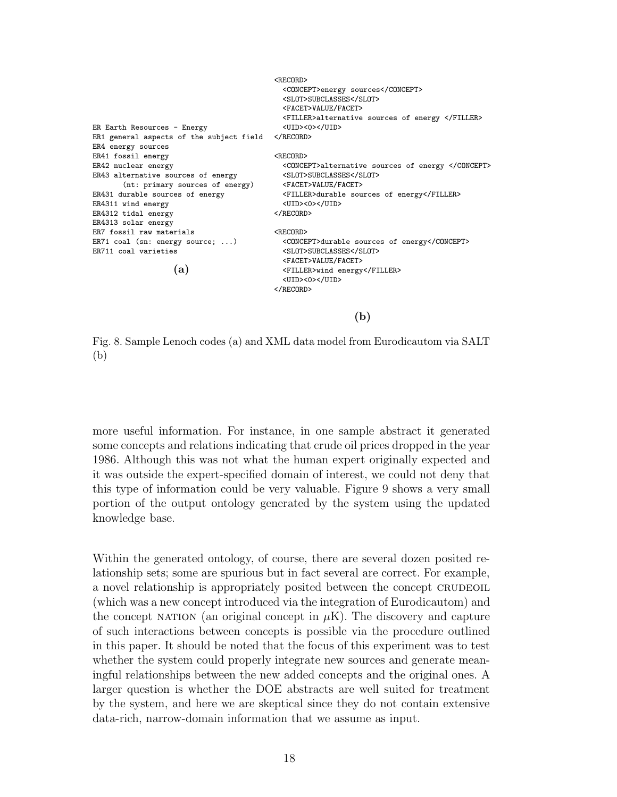```
ER Earth Resources - Energy
ER1 general aspects of the subject field
</RECORD>
ER4 energy sources
ER41 fossil energy
ER42 nuclear energy
ER43 alternative sources of energy
       (nt: primary sources of energy)
ER431 durable sources of energy
ER4311 wind energy
ER4312 tidal energy
ER4313 solar energy
ER7 fossil raw materials
ER71 coal (sn: energy source; ...)
ER711 coal varieties
                   (a)
                                           <RECORD>
                                             <CONCEPT>energy sources</CONCEPT>
                                             <SLOT>SUBCLASSES</SLOT>
                                             <FACET>VALUE/FACET>
                                             <FILLER>alternative sources of energy </FILLER>
                                             <UID><0></UID>
                                           <RECORD>
                                             <CONCEPT>alternative sources of energy </CONCEPT>
                                             <SLOT>SUBCLASSES</SLOT>
                                             <FACET>VALUE/FACET>
                                             <FILLER>durable sources of energy</FILLER>
                                             <UID><0></UID>
                                           </RECORD>
                                           <RECORD>
                                            <CONCEPT>durable sources of energy</CONCEPT>
                                             <SLOT>SUBCLASSES</SLOT>
                                            <FACET>VALUE/FACET>
                                             <FILLER>wind energy</FILLER>
                                             <UID><0></UID>
                                           </RECORD>
                                                              (b)
```
Fig. 8. Sample Lenoch codes (a) and XML data model from Eurodicautom via SALT (b)

more useful information. For instance, in one sample abstract it generated some concepts and relations indicating that crude oil prices dropped in the year 1986. Although this was not what the human expert originally expected and it was outside the expert-specified domain of interest, we could not deny that this type of information could be very valuable. Figure 9 shows a very small portion of the output ontology generated by the system using the updated knowledge base.

Within the generated ontology, of course, there are several dozen posited relationship sets; some are spurious but in fact several are correct. For example, a novel relationship is appropriately posited between the concept CRUDEOIL (which was a new concept introduced via the integration of Eurodicautom) and the concept nation (an original concept in  $\mu$ K). The discovery and capture of such interactions between concepts is possible via the procedure outlined in this paper. It should be noted that the focus of this experiment was to test whether the system could properly integrate new sources and generate meaningful relationships between the new added concepts and the original ones. A larger question is whether the DOE abstracts are well suited for treatment by the system, and here we are skeptical since they do not contain extensive data-rich, narrow-domain information that we assume as input.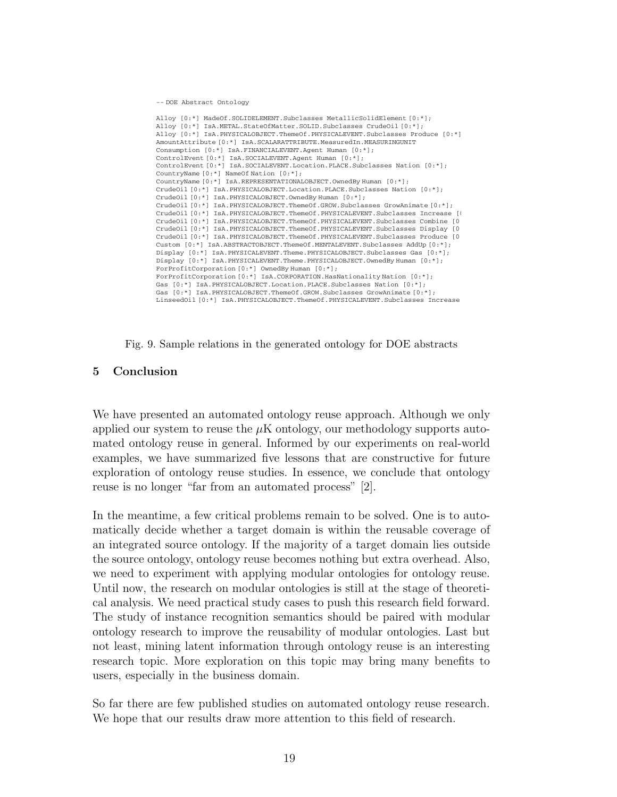```
-- DOE Abstract Ontology
```

```
Alloy [0:*] MadeOf.SOLIDELEMENT.Subclasses MetallicSolidElement [0:*];
Alloy [0:*] IsA.METAL.StateOfMatter.SOLID.Subclasses CrudeOil [0:*];
Alloy [0:*] IsA.PHYSICALOBJECT.ThemeOf.PHYSICALEVENT.Subclasses Produce [0:*]
AmountAttribute [0.*] IsA.SCALARATTRIFING MeasuredIn.MEASURINGUNIT
Consumption [0: *] IsA.FINANCIALEVENT.Agent Human [0: *];
ControlEvent [0:*] IsA.SOCIALEVENT.Agent Human [0:*];
ControlEvent [0:*] IsA.SOCIALEVENT.Location.PLACE.Subclasses Nation [0:*];
CountryName [0: *] NameOf Nation [0: *];
CountryName [0:*] IsA.REPRESENTATIONALOBJECT.OwnedBy Human [0:*];
CrudeOil [0:*] IsA.PHYSICALOBJECT.Location.PLACE.Subclasses Nation [0:*];
CrudeOil [0:^{\ast}] IsA. PHYSICALOBJECT. OwnedBy Human [0:^{\ast}];
CrudeOil [0:*] IsA.PHYSICALOBJECT.ThemeOf.GROW.Subclasses GrowAnimate [0:*];
CrudeOil [0:*] IsA.PHYSICALOBJECT.ThemeOf.PHYSICALEVENT.Subclasses Increase [0]
CrudeOil [0:*] IsA.PHYSICALOBJECT.ThemeOf.PHYSICALEVENT.Subclasses Combine [0
CrudeOil [0:*] IsA.PHYSICALOBJECT.ThemeOf.PHYSICALEVENT.Subclasses Display [0
CrudeOil [0:*] IsA.PHYSICALOBJECT.ThemeOf.PHYSICALEVENT.Subclasses Produce [0
Custom [0: *] IsA.ABSTRACTOBJECT.ThemeOf.MENTALEVENT.Subclasses AddUp [0: *];
Display [0:*] IsA.PHYSICALEVENT.Theme.PHYSICALOBJECT.Subclasses Gas [0:*];
Display [0:*] IsA.PHYSICALEVENT.Theme.PHYSICALOBJECT.OwnedBy Human [0:*];
ForProfitCorporation [0:*] OwnedBy Human [0:*];
ForProfitCorporation [0:*] IsA.CORPORATION.HasNationality Nation [0:*];
Gas [0:*] IsA.PHYSICALOBJECT.Location.PLACE.Subclasses Nation [0:*];
Gas [0:*] IsA.PHYSICALOBJECT.ThemeOf.GROW.Subclasses GrowAnimate [0:*];
LinseedOil [0:*] IsA.PHYSICALOBJECT.ThemeOf.PHYSICALEVENT.Subclasses Increase
```
Fig. 9. Sample relations in the generated ontology for DOE abstracts

## **5 Conclusion**

We have presented an automated ontology reuse approach. Although we only applied our system to reuse the *µ*K ontology, our methodology supports automated ontology reuse in general. Informed by our experiments on real-world examples, we have summarized five lessons that are constructive for future exploration of ontology reuse studies. In essence, we conclude that ontology reuse is no longer "far from an automated process" [2].

In the meantime, a few critical problems remain to be solved. One is to automatically decide whether a target domain is within the reusable coverage of an integrated source ontology. If the majority of a target domain lies outside the source ontology, ontology reuse becomes nothing but extra overhead. Also, we need to experiment with applying modular ontologies for ontology reuse. Until now, the research on modular ontologies is still at the stage of theoretical analysis. We need practical study cases to push this research field forward. The study of instance recognition semantics should be paired with modular ontology research to improve the reusability of modular ontologies. Last but not least, mining latent information through ontology reuse is an interesting research topic. More exploration on this topic may bring many benefits to users, especially in the business domain.

So far there are few published studies on automated ontology reuse research. We hope that our results draw more attention to this field of research.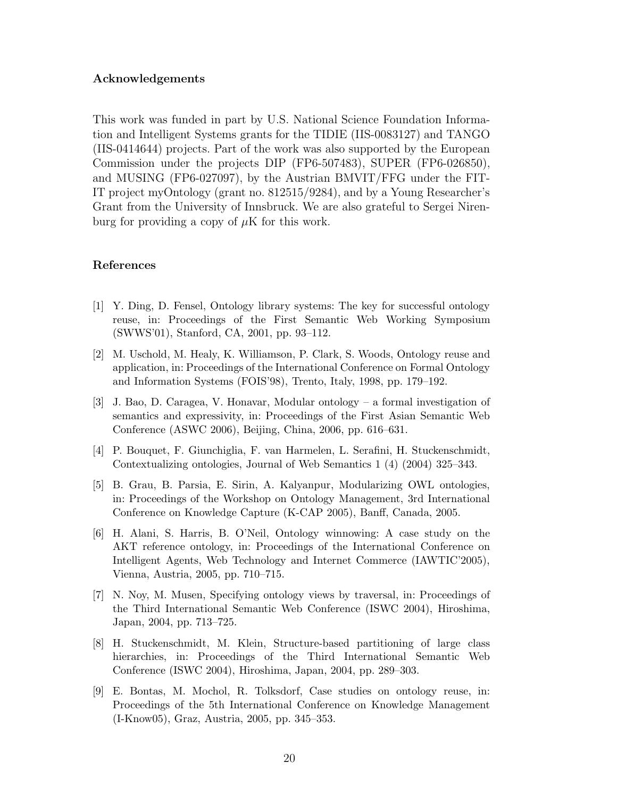### **Acknowledgements**

This work was funded in part by U.S. National Science Foundation Information and Intelligent Systems grants for the TIDIE (IIS-0083127) and TANGO (IIS-0414644) projects. Part of the work was also supported by the European Commission under the projects DIP (FP6-507483), SUPER (FP6-026850), and MUSING (FP6-027097), by the Austrian BMVIT/FFG under the FIT-IT project myOntology (grant no. 812515/9284), and by a Young Researcher's Grant from the University of Innsbruck. We are also grateful to Sergei Nirenburg for providing a copy of *µ*K for this work.

### **References**

- [1] Y. Ding, D. Fensel, Ontology library systems: The key for successful ontology reuse, in: Proceedings of the First Semantic Web Working Symposium (SWWS'01), Stanford, CA, 2001, pp. 93–112.
- [2] M. Uschold, M. Healy, K. Williamson, P. Clark, S. Woods, Ontology reuse and application, in: Proceedings of the International Conference on Formal Ontology and Information Systems (FOIS'98), Trento, Italy, 1998, pp. 179–192.
- [3] J. Bao, D. Caragea, V. Honavar, Modular ontology a formal investigation of semantics and expressivity, in: Proceedings of the First Asian Semantic Web Conference (ASWC 2006), Beijing, China, 2006, pp. 616–631.
- [4] P. Bouquet, F. Giunchiglia, F. van Harmelen, L. Serafini, H. Stuckenschmidt, Contextualizing ontologies, Journal of Web Semantics 1 (4) (2004) 325–343.
- [5] B. Grau, B. Parsia, E. Sirin, A. Kalyanpur, Modularizing OWL ontologies, in: Proceedings of the Workshop on Ontology Management, 3rd International Conference on Knowledge Capture (K-CAP 2005), Banff, Canada, 2005.
- [6] H. Alani, S. Harris, B. O'Neil, Ontology winnowing: A case study on the AKT reference ontology, in: Proceedings of the International Conference on Intelligent Agents, Web Technology and Internet Commerce (IAWTIC'2005), Vienna, Austria, 2005, pp. 710–715.
- [7] N. Noy, M. Musen, Specifying ontology views by traversal, in: Proceedings of the Third International Semantic Web Conference (ISWC 2004), Hiroshima, Japan, 2004, pp. 713–725.
- [8] H. Stuckenschmidt, M. Klein, Structure-based partitioning of large class hierarchies, in: Proceedings of the Third International Semantic Web Conference (ISWC 2004), Hiroshima, Japan, 2004, pp. 289–303.
- [9] E. Bontas, M. Mochol, R. Tolksdorf, Case studies on ontology reuse, in: Proceedings of the 5th International Conference on Knowledge Management (I-Know05), Graz, Austria, 2005, pp. 345–353.